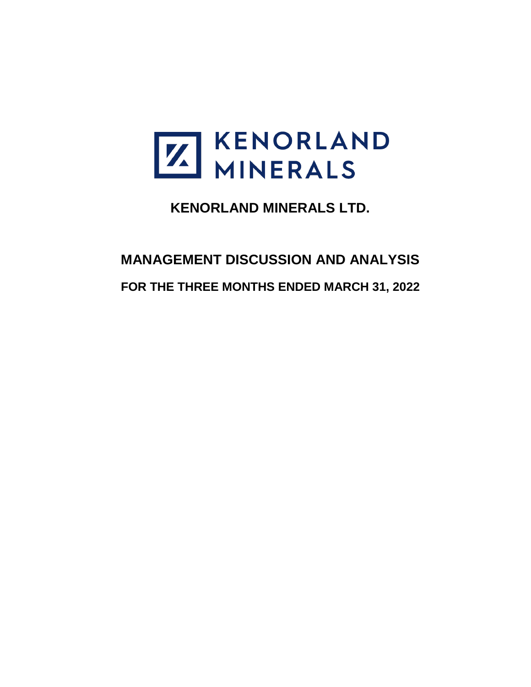

**KENORLAND MINERALS LTD.**

# **MANAGEMENT DISCUSSION AND ANALYSIS FOR THE THREE MONTHS ENDED MARCH 31, 2022**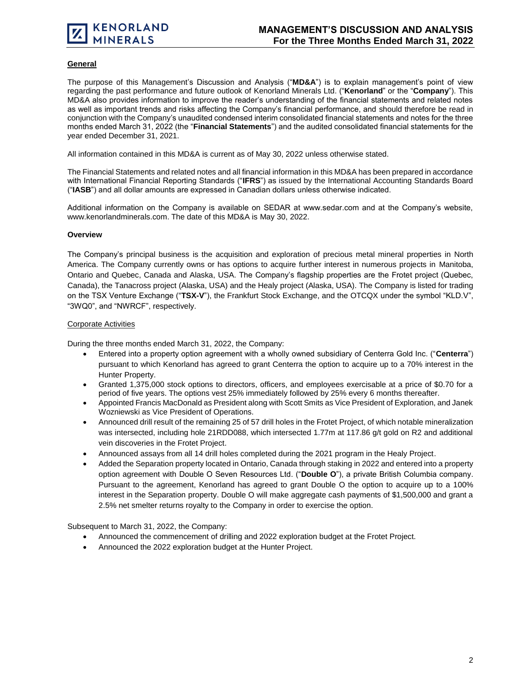# **General**

The purpose of this Management's Discussion and Analysis ("**MD&A**") is to explain management's point of view regarding the past performance and future outlook of Kenorland Minerals Ltd. ("**Kenorland**" or the "**Company**"). This MD&A also provides information to improve the reader's understanding of the financial statements and related notes as well as important trends and risks affecting the Company's financial performance, and should therefore be read in conjunction with the Company's unaudited condensed interim consolidated financial statements and notes for the three months ended March 31, 2022 (the "**Financial Statements**") and the audited consolidated financial statements for the year ended December 31, 2021.

All information contained in this MD&A is current as of May 30, 2022 unless otherwise stated.

The Financial Statements and related notes and all financial information in this MD&A has been prepared in accordance with International Financial Reporting Standards ("**IFRS**") as issued by the International Accounting Standards Board ("**IASB**") and all dollar amounts are expressed in Canadian dollars unless otherwise indicated.

Additional information on the Company is available on SEDAR at www.sedar.com and at the Company's website, www.kenorlandminerals.com. The date of this MD&A is May 30, 2022.

#### **Overview**

The Company's principal business is the acquisition and exploration of precious metal mineral properties in North America. The Company currently owns or has options to acquire further interest in numerous projects in Manitoba, Ontario and Quebec, Canada and Alaska, USA. The Company's flagship properties are the Frotet project (Quebec, Canada), the Tanacross project (Alaska, USA) and the Healy project (Alaska, USA). The Company is listed for trading on the TSX Venture Exchange ("**TSX-V**"), the Frankfurt Stock Exchange, and the OTCQX under the symbol "KLD.V", "3WQ0", and "NWRCF", respectively.

# Corporate Activities

During the three months ended March 31, 2022, the Company:

- Entered into a property option agreement with a wholly owned subsidiary of Centerra Gold Inc. ("**Centerra**") pursuant to which Kenorland has agreed to grant Centerra the option to acquire up to a 70% interest in the Hunter Property.
- Granted 1,375,000 stock options to directors, officers, and employees exercisable at a price of \$0.70 for a period of five years. The options vest 25% immediately followed by 25% every 6 months thereafter.
- Appointed Francis MacDonald as President along with Scott Smits as Vice President of Exploration, and Janek Wozniewski as Vice President of Operations.
- Announced drill result of the remaining 25 of 57 drill holes in the Frotet Project, of which notable mineralization was intersected, including hole 21RDD088, which intersected 1.77m at 117.86 g/t gold on R2 and additional vein discoveries in the Frotet Project.
- Announced assays from all 14 drill holes completed during the 2021 program in the Healy Project.
- Added the Separation property located in Ontario, Canada through staking in 2022 and entered into a property option agreement with Double O Seven Resources Ltd. ("**Double O**"), a private British Columbia company. Pursuant to the agreement, Kenorland has agreed to grant Double O the option to acquire up to a 100% interest in the Separation property. Double O will make aggregate cash payments of \$1,500,000 and grant a 2.5% net smelter returns royalty to the Company in order to exercise the option.

Subsequent to March 31, 2022, the Company:

- Announced the commencement of drilling and 2022 exploration budget at the Frotet Project.
- Announced the 2022 exploration budget at the Hunter Project.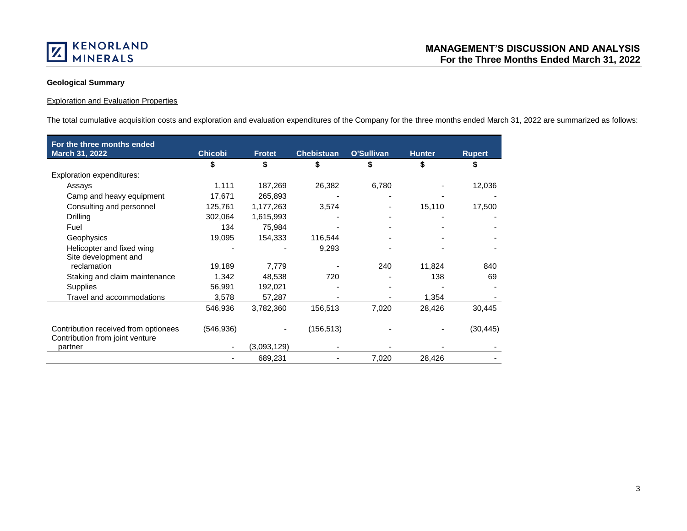

# **Geological Summary**

# Exploration and Evaluation Properties

The total cumulative acquisition costs and exploration and evaluation expenditures of the Company for the three months ended March 31, 2022 are summarized as follows:

| For the three months ended           |                |               |                   |            |               |               |
|--------------------------------------|----------------|---------------|-------------------|------------|---------------|---------------|
| March 31, 2022                       | <b>Chicobi</b> | <b>Frotet</b> | <b>Chebistuan</b> | O'Sullivan | <b>Hunter</b> | <b>Rupert</b> |
|                                      | \$             | \$            | \$                |            | \$            | S             |
| <b>Exploration expenditures:</b>     |                |               |                   |            |               |               |
| Assays                               | 1,111          | 187,269       | 26,382            | 6,780      |               | 12,036        |
| Camp and heavy equipment             | 17,671         | 265,893       |                   |            |               |               |
| Consulting and personnel             | 125,761        | 1,177,263     | 3,574             |            | 15,110        | 17,500        |
| Drilling                             | 302,064        | 1,615,993     |                   |            |               |               |
| Fuel                                 | 134            | 75,984        |                   |            |               |               |
| Geophysics                           | 19,095         | 154,333       | 116,544           |            |               |               |
| Helicopter and fixed wing            |                |               | 9,293             |            |               |               |
| Site development and                 |                |               |                   |            |               |               |
| reclamation                          | 19,189         | 7.779         |                   | 240        | 11,824        | 840           |
| Staking and claim maintenance        | 1.342          | 48,538        | 720               |            | 138           | 69            |
| <b>Supplies</b>                      | 56,991         | 192,021       |                   |            |               |               |
| Travel and accommodations            | 3,578          | 57,287        |                   |            | 1,354         |               |
|                                      | 546,936        | 3,782,360     | 156,513           | 7,020      | 28,426        | 30,445        |
|                                      |                |               |                   |            |               |               |
| Contribution received from optionees | (546, 936)     |               | (156, 513)        |            |               | (30, 445)     |
| Contribution from joint venture      |                |               |                   |            |               |               |
| partner                              |                | (3,093,129)   |                   |            |               |               |
|                                      |                | 689,231       |                   | 7,020      | 28,426        |               |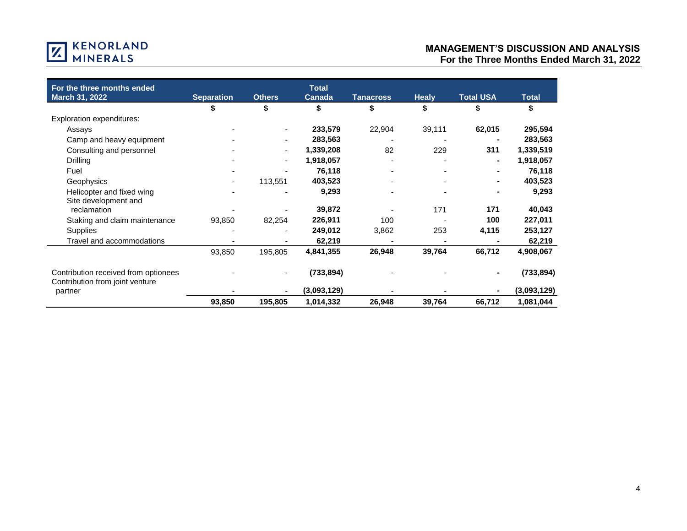

| For the three months ended                                              |                          |               | <b>Total</b>  |                  |              |                  |              |
|-------------------------------------------------------------------------|--------------------------|---------------|---------------|------------------|--------------|------------------|--------------|
| March 31, 2022                                                          | <b>Separation</b>        | <b>Others</b> | <b>Canada</b> | <b>Tanacross</b> | <b>Healy</b> | <b>Total USA</b> | <b>Total</b> |
|                                                                         |                          | \$            |               | \$               | \$           |                  |              |
| <b>Exploration expenditures:</b>                                        |                          |               |               |                  |              |                  |              |
| Assays                                                                  |                          |               | 233,579       | 22,904           | 39,111       | 62,015           | 295,594      |
| Camp and heavy equipment                                                |                          |               | 283,563       |                  |              |                  | 283,563      |
| Consulting and personnel                                                |                          | ٠             | 1,339,208     | 82               | 229          | 311              | 1,339,519    |
| Drilling                                                                |                          | ٠             | 1,918,057     |                  |              | $\blacksquare$   | 1,918,057    |
| Fuel                                                                    |                          |               | 76,118        |                  |              |                  | 76,118       |
| Geophysics                                                              | $\overline{\phantom{a}}$ | 113,551       | 403,523       |                  |              |                  | 403,523      |
| Helicopter and fixed wing                                               |                          |               | 9,293         |                  |              |                  | 9,293        |
| Site development and                                                    |                          |               |               |                  |              |                  |              |
| reclamation                                                             |                          |               | 39,872        |                  | 171          | 171              | 40,043       |
| Staking and claim maintenance                                           | 93,850                   | 82,254        | 226,911       | 100              |              | 100              | 227,011      |
| <b>Supplies</b>                                                         |                          |               | 249,012       | 3,862            | 253          | 4,115            | 253,127      |
| Travel and accommodations                                               |                          |               | 62,219        |                  |              |                  | 62,219       |
|                                                                         | 93,850                   | 195,805       | 4,841,355     | 26,948           | 39,764       | 66,712           | 4,908,067    |
| Contribution received from optionees<br>Contribution from joint venture |                          |               | (733, 894)    |                  |              |                  | (733, 894)   |
| partner                                                                 |                          |               | (3,093,129)   |                  |              |                  | (3,093,129)  |
|                                                                         | 93,850                   | 195,805       | 1,014,332     | 26,948           | 39,764       | 66,712           | 1,081,044    |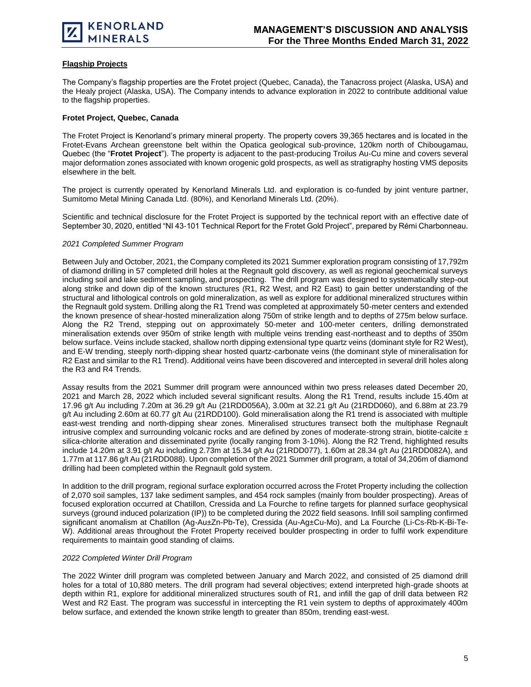

# **Flagship Projects**

The Company's flagship properties are the Frotet project (Quebec, Canada), the Tanacross project (Alaska, USA) and the Healy project (Alaska, USA). The Company intends to advance exploration in 2022 to contribute additional value to the flagship properties.

## **Frotet Project, Quebec, Canada**

The Frotet Project is Kenorland's primary mineral property. The property covers 39,365 hectares and is located in the Frotet-Evans Archean greenstone belt within the Opatica geological sub-province, 120km north of Chibougamau, Quebec (the "**Frotet Project**"). The property is adjacent to the past-producing Troilus Au-Cu mine and covers several major deformation zones associated with known orogenic gold prospects, as well as stratigraphy hosting VMS deposits elsewhere in the belt.

The project is currently operated by Kenorland Minerals Ltd. and exploration is co-funded by joint venture partner, Sumitomo Metal Mining Canada Ltd. (80%), and Kenorland Minerals Ltd. (20%).

Scientific and technical disclosure for the Frotet Project is supported by the technical report with an effective date of September 30, 2020, entitled "NI 43-101 Technical Report for the Frotet Gold Project", prepared by Rémi Charbonneau.

#### *2021 Completed Summer Program*

Between July and October, 2021, the Company completed its 2021 Summer exploration program consisting of 17,792m of diamond drilling in 57 completed drill holes at the Regnault gold discovery, as well as regional geochemical surveys including soil and lake sediment sampling, and prospecting. The drill program was designed to systematically step-out along strike and down dip of the known structures (R1, R2 West, and R2 East) to gain better understanding of the structural and lithological controls on gold mineralization, as well as explore for additional mineralized structures within the Regnault gold system. Drilling along the R1 Trend was completed at approximately 50-meter centers and extended the known presence of shear-hosted mineralization along 750m of strike length and to depths of 275m below surface. Along the R2 Trend, stepping out on approximately 50-meter and 100-meter centers, drilling demonstrated mineralisation extends over 950m of strike length with multiple veins trending east-northeast and to depths of 350m below surface. Veins include stacked, shallow north dipping extensional type quartz veins (dominant style for R2 West), and E-W trending, steeply north-dipping shear hosted quartz-carbonate veins (the dominant style of mineralisation for R2 East and similar to the R1 Trend). Additional veins have been discovered and intercepted in several drill holes along the R3 and R4 Trends.

Assay results from the 2021 Summer drill program were announced within two press releases dated December 20, 2021 and March 28, 2022 which included several significant results. Along the R1 Trend, results include 15.40m at 17.96 g/t Au including 7.20m at 36.29 g/t Au (21RDD056A), 3.00m at 32.21 g/t Au (21RDD060), and 6.88m at 23.79 g/t Au including 2.60m at 60.77 g/t Au (21RDD100). Gold mineralisation along the R1 trend is associated with multiple east-west trending and north-dipping shear zones. Mineralised structures transect both the multiphase Regnault intrusive complex and surrounding volcanic rocks and are defined by zones of moderate-strong strain, biotite-calcite  $\pm$ silica-chlorite alteration and disseminated pyrite (locally ranging from 3-10%). Along the R2 Trend, highlighted results include 14.20m at 3.91 g/t Au including 2.73m at 15.34 g/t Au (21RDD077), 1.60m at 28.34 g/t Au (21RDD082A), and 1.77m at 117.86 g/t Au (21RDD088). Upon completion of the 2021 Summer drill program, a total of 34,206m of diamond drilling had been completed within the Regnault gold system.

In addition to the drill program, regional surface exploration occurred across the Frotet Property including the collection of 2,070 soil samples, 137 lake sediment samples, and 454 rock samples (mainly from boulder prospecting). Areas of focused exploration occurred at Chatillon, Cressida and La Fourche to refine targets for planned surface geophysical surveys (ground induced polarization (IP)) to be completed during the 2022 field seasons. Infill soil sampling confirmed significant anomalism at Chatillon (Ag-Au±Zn-Pb-Te), Cressida (Au-Ag±Cu-Mo), and La Fourche (Li-Cs-Rb-K-Bi-Te-W). Additional areas throughout the Frotet Property received boulder prospecting in order to fulfil work expenditure requirements to maintain good standing of claims.

#### *2022 Completed Winter Drill Program*

The 2022 Winter drill program was completed between January and March 2022, and consisted of 25 diamond drill holes for a total of 10,880 meters. The drill program had several objectives; extend interpreted high-grade shoots at depth within R1, explore for additional mineralized structures south of R1, and infill the gap of drill data between R2 West and R2 East. The program was successful in intercepting the R1 vein system to depths of approximately 400m below surface, and extended the known strike length to greater than 850m, trending east-west.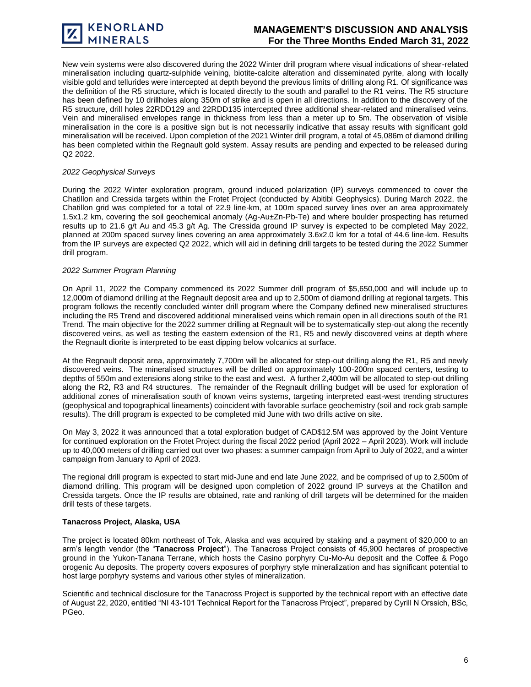New vein systems were also discovered during the 2022 Winter drill program where visual indications of shear-related mineralisation including quartz-sulphide veining, biotite-calcite alteration and disseminated pyrite, along with locally visible gold and tellurides were intercepted at depth beyond the previous limits of drilling along R1. Of significance was the definition of the R5 structure, which is located directly to the south and parallel to the R1 veins. The R5 structure has been defined by 10 drillholes along 350m of strike and is open in all directions. In addition to the discovery of the R5 structure, drill holes 22RDD129 and 22RDD135 intercepted three additional shear-related and mineralised veins. Vein and mineralised envelopes range in thickness from less than a meter up to 5m. The observation of visible mineralisation in the core is a positive sign but is not necessarily indicative that assay results with significant gold mineralisation will be received. Upon completion of the 2021 Winter drill program, a total of 45,086m of diamond drilling has been completed within the Regnault gold system. Assay results are pending and expected to be released during Q2 2022.

## *2022 Geophysical Surveys*

During the 2022 Winter exploration program, ground induced polarization (IP) surveys commenced to cover the Chatillon and Cressida targets within the Frotet Project (conducted by Abitibi Geophysics). During March 2022, the Chatillon grid was completed for a total of 22.9 line-km, at 100m spaced survey lines over an area approximately 1.5x1.2 km, covering the soil geochemical anomaly (Ag-Au±Zn-Pb-Te) and where boulder prospecting has returned results up to 21.6 g/t Au and 45.3 g/t Ag. The Cressida ground IP survey is expected to be completed May 2022, planned at 200m spaced survey lines covering an area approximately 3.6x2.0 km for a total of 44.6 line-km. Results from the IP surveys are expected Q2 2022, which will aid in defining drill targets to be tested during the 2022 Summer drill program.

#### *2022 Summer Program Planning*

On April 11, 2022 the Company commenced its 2022 Summer drill program of \$5,650,000 and will include up to 12,000m of diamond drilling at the Regnault deposit area and up to 2,500m of diamond drilling at regional targets. This program follows the recently concluded winter drill program where the Company defined new mineralised structures including the R5 Trend and discovered additional mineralised veins which remain open in all directions south of the R1 Trend. The main objective for the 2022 summer drilling at Regnault will be to systematically step-out along the recently discovered veins, as well as testing the eastern extension of the R1, R5 and newly discovered veins at depth where the Regnault diorite is interpreted to be east dipping below volcanics at surface.

At the Regnault deposit area, approximately 7,700m will be allocated for step-out drilling along the R1, R5 and newly discovered veins. The mineralised structures will be drilled on approximately 100-200m spaced centers, testing to depths of 550m and extensions along strike to the east and west. A further 2,400m will be allocated to step-out drilling along the R2, R3 and R4 structures. The remainder of the Regnault drilling budget will be used for exploration of additional zones of mineralisation south of known veins systems, targeting interpreted east-west trending structures (geophysical and topographical lineaments) coincident with favorable surface geochemistry (soil and rock grab sample results). The drill program is expected to be completed mid June with two drills active on site.

On May 3, 2022 it was announced that a total exploration budget of CAD\$12.5M was approved by the Joint Venture for continued exploration on the Frotet Project during the fiscal 2022 period (April 2022 – April 2023). Work will include up to 40,000 meters of drilling carried out over two phases: a summer campaign from April to July of 2022, and a winter campaign from January to April of 2023.

The regional drill program is expected to start mid-June and end late June 2022, and be comprised of up to 2,500m of diamond drilling. This program will be designed upon completion of 2022 ground IP surveys at the Chatillon and Cressida targets. Once the IP results are obtained, rate and ranking of drill targets will be determined for the maiden drill tests of these targets.

#### **Tanacross Project, Alaska, USA**

The project is located 80km northeast of Tok, Alaska and was acquired by staking and a payment of \$20,000 to an arm's length vendor (the "**Tanacross Project**"). The Tanacross Project consists of 45,900 hectares of prospective ground in the Yukon-Tanana Terrane, which hosts the Casino porphyry Cu-Mo-Au deposit and the Coffee & Pogo orogenic Au deposits. The property covers exposures of porphyry style mineralization and has significant potential to host large porphyry systems and various other styles of mineralization.

Scientific and technical disclosure for the Tanacross Project is supported by the technical report with an effective date of August 22, 2020, entitled "NI 43-101 Technical Report for the Tanacross Project", prepared by Cyrill N Orssich, BSc, PGeo.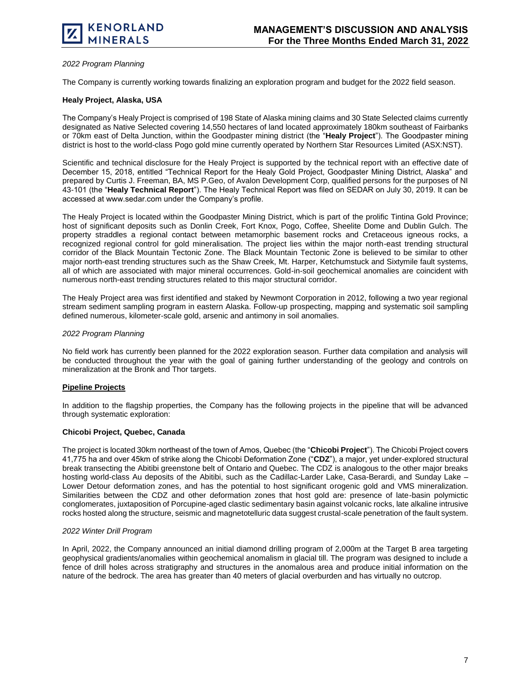

#### *2022 Program Planning*

The Company is currently working towards finalizing an exploration program and budget for the 2022 field season.

#### **Healy Project, Alaska, USA**

The Company's Healy Project is comprised of 198 State of Alaska mining claims and 30 State Selected claims currently designated as Native Selected covering 14,550 hectares of land located approximately 180km southeast of Fairbanks or 70km east of Delta Junction, within the Goodpaster mining district (the "**Healy Project**"). The Goodpaster mining district is host to the world-class Pogo gold mine currently operated by Northern Star Resources Limited (ASX:NST).

Scientific and technical disclosure for the Healy Project is supported by the technical report with an effective date of December 15, 2018, entitled "Technical Report for the Healy Gold Project, Goodpaster Mining District, Alaska" and prepared by Curtis J. Freeman, BA, MS P.Geo, of Avalon Development Corp, qualified persons for the purposes of NI 43-101 (the "**Healy Technical Report**"). The Healy Technical Report was filed on SEDAR on July 30, 2019. It can be accessed at www.sedar.com under the Company's profile.

The Healy Project is located within the Goodpaster Mining District, which is part of the prolific Tintina Gold Province; host of significant deposits such as Donlin Creek, Fort Knox, Pogo, Coffee, Sheelite Dome and Dublin Gulch. The property straddles a regional contact between metamorphic basement rocks and Cretaceous igneous rocks, a recognized regional control for gold mineralisation. The project lies within the major north-east trending structural corridor of the Black Mountain Tectonic Zone. The Black Mountain Tectonic Zone is believed to be similar to other major north-east trending structures such as the Shaw Creek, Mt. Harper, Ketchumstuck and Sixtymile fault systems, all of which are associated with major mineral occurrences. Gold-in-soil geochemical anomalies are coincident with numerous north-east trending structures related to this major structural corridor.

The Healy Project area was first identified and staked by Newmont Corporation in 2012, following a two year regional stream sediment sampling program in eastern Alaska. Follow-up prospecting, mapping and systematic soil sampling defined numerous, kilometer-scale gold, arsenic and antimony in soil anomalies.

#### *2022 Program Planning*

No field work has currently been planned for the 2022 exploration season. Further data compilation and analysis will be conducted throughout the year with the goal of gaining further understanding of the geology and controls on mineralization at the Bronk and Thor targets.

# **Pipeline Projects**

In addition to the flagship properties, the Company has the following projects in the pipeline that will be advanced through systematic exploration:

#### **Chicobi Project, Quebec, Canada**

The project is located 30km northeast of the town of Amos, Quebec (the "**Chicobi Project**"). The Chicobi Project covers 41,775 ha and over 45km of strike along the Chicobi Deformation Zone ("**CDZ**"), a major, yet under-explored structural break transecting the Abitibi greenstone belt of Ontario and Quebec. The CDZ is analogous to the other major breaks hosting world-class Au deposits of the Abitibi, such as the Cadillac-Larder Lake, Casa-Berardi, and Sunday Lake – Lower Detour deformation zones, and has the potential to host significant orogenic gold and VMS mineralization. Similarities between the CDZ and other deformation zones that host gold are: presence of late-basin polymictic conglomerates, juxtaposition of Porcupine-aged clastic sedimentary basin against volcanic rocks, late alkaline intrusive rocks hosted along the structure, seismic and magnetotelluric data suggest crustal-scale penetration of the fault system.

#### *2022 Winter Drill Program*

In April, 2022, the Company announced an initial diamond drilling program of 2,000m at the Target B area targeting geophysical gradients/anomalies within geochemical anomalism in glacial till. The program was designed to include a fence of drill holes across stratigraphy and structures in the anomalous area and produce initial information on the nature of the bedrock. The area has greater than 40 meters of glacial overburden and has virtually no outcrop.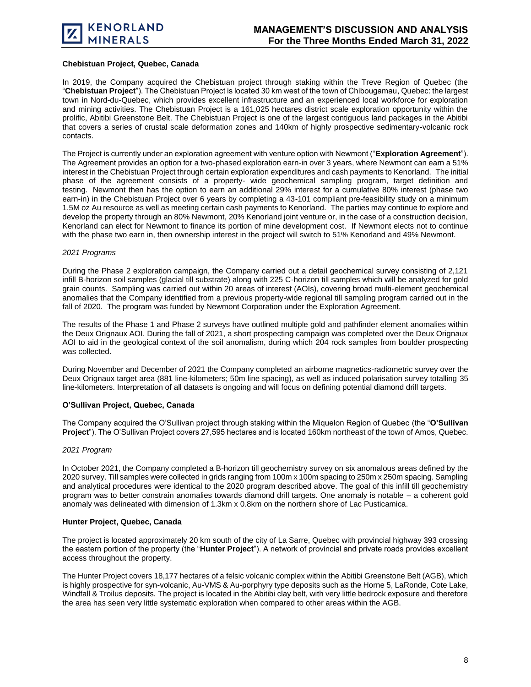

# **Chebistuan Project, Quebec, Canada**

In 2019, the Company acquired the Chebistuan project through staking within the Treve Region of Quebec (the "**Chebistuan Project**"). The Chebistuan Project is located 30 km west of the town of Chibougamau, Quebec: the largest town in Nord-du-Quebec, which provides excellent infrastructure and an experienced local workforce for exploration and mining activities. The Chebistuan Project is a 161,025 hectares district scale exploration opportunity within the prolific, Abitibi Greenstone Belt. The Chebistuan Project is one of the largest contiguous land packages in the Abitibi that covers a series of crustal scale deformation zones and 140km of highly prospective sedimentary-volcanic rock contacts.

The Project is currently under an exploration agreement with venture option with Newmont ("**Exploration Agreement**"). The Agreement provides an option for a two-phased exploration earn-in over 3 years, where Newmont can earn a 51% interest in the Chebistuan Project through certain exploration expenditures and cash payments to Kenorland. The initial phase of the agreement consists of a property- wide geochemical sampling program, target definition and testing. Newmont then has the option to earn an additional 29% interest for a cumulative 80% interest (phase two earn-in) in the Chebistuan Project over 6 years by completing a 43-101 compliant pre-feasibility study on a minimum 1.5M oz Au resource as well as meeting certain cash payments to Kenorland. The parties may continue to explore and develop the property through an 80% Newmont, 20% Kenorland joint venture or, in the case of a construction decision, Kenorland can elect for Newmont to finance its portion of mine development cost. If Newmont elects not to continue with the phase two earn in, then ownership interest in the project will switch to 51% Kenorland and 49% Newmont.

#### *2021 Programs*

During the Phase 2 exploration campaign, the Company carried out a detail geochemical survey consisting of 2,121 infill B-horizon soil samples (glacial till substrate) along with 225 C-horizon till samples which will be analyzed for gold grain counts. Sampling was carried out within 20 areas of interest (AOIs), covering broad multi-element geochemical anomalies that the Company identified from a previous property-wide regional till sampling program carried out in the fall of 2020. The program was funded by Newmont Corporation under the Exploration Agreement.

The results of the Phase 1 and Phase 2 surveys have outlined multiple gold and pathfinder element anomalies within the Deux Orignaux AOI. During the fall of 2021, a short prospecting campaign was completed over the Deux Orignaux AOI to aid in the geological context of the soil anomalism, during which 204 rock samples from boulder prospecting was collected.

During November and December of 2021 the Company completed an airborne magnetics-radiometric survey over the Deux Orignaux target area (881 line-kilometers; 50m line spacing), as well as induced polarisation survey totalling 35 line-kilometers. Interpretation of all datasets is ongoing and will focus on defining potential diamond drill targets.

#### **O'Sullivan Project, Quebec, Canada**

The Company acquired the O'Sullivan project through staking within the Miquelon Region of Quebec (the "**O'Sullivan Project**"). The O'Sullivan Project covers 27,595 hectares and is located 160km northeast of the town of Amos, Quebec.

#### *2021 Program*

In October 2021, the Company completed a B-horizon till geochemistry survey on six anomalous areas defined by the 2020 survey. Till samples were collected in grids ranging from 100m x 100m spacing to 250m x 250m spacing. Sampling and analytical procedures were identical to the 2020 program described above. The goal of this infill till geochemistry program was to better constrain anomalies towards diamond drill targets. One anomaly is notable – a coherent gold anomaly was delineated with dimension of 1.3km x 0.8km on the northern shore of Lac Pusticamica.

#### **Hunter Project, Quebec, Canada**

The project is located approximately 20 km south of the city of La Sarre, Quebec with provincial highway 393 crossing the eastern portion of the property (the "**Hunter Project**"). A network of provincial and private roads provides excellent access throughout the property.

The Hunter Project covers 18,177 hectares of a felsic volcanic complex within the Abitibi Greenstone Belt (AGB), which is highly prospective for syn-volcanic, Au-VMS & Au-porphyry type deposits such as the Horne 5, LaRonde, Cote Lake, Windfall & Troilus deposits. The project is located in the Abitibi clay belt, with very little bedrock exposure and therefore the area has seen very little systematic exploration when compared to other areas within the AGB.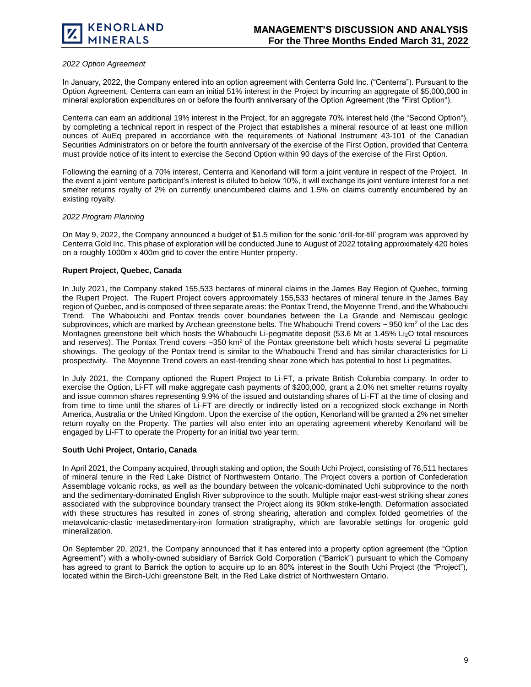

# *2022 Option Agreement*

In January, 2022, the Company entered into an option agreement with Centerra Gold Inc. ("Centerra"). Pursuant to the Option Agreement, Centerra can earn an initial 51% interest in the Project by incurring an aggregate of \$5,000,000 in mineral exploration expenditures on or before the fourth anniversary of the Option Agreement (the "First Option").

Centerra can earn an additional 19% interest in the Project, for an aggregate 70% interest held (the "Second Option"), by completing a technical report in respect of the Project that establishes a mineral resource of at least one million ounces of AuEq prepared in accordance with the requirements of National Instrument 43-101 of the Canadian Securities Administrators on or before the fourth anniversary of the exercise of the First Option, provided that Centerra must provide notice of its intent to exercise the Second Option within 90 days of the exercise of the First Option.

Following the earning of a 70% interest, Centerra and Kenorland will form a joint venture in respect of the Project. In the event a joint venture participant's interest is diluted to below 10%, it will exchange its joint venture interest for a net smelter returns royalty of 2% on currently unencumbered claims and 1.5% on claims currently encumbered by an existing royalty.

#### *2022 Program Planning*

On May 9, 2022, the Company announced a budget of \$1.5 million for the sonic 'drill-for-till' program was approved by Centerra Gold Inc. This phase of exploration will be conducted June to August of 2022 totaling approximately 420 holes on a roughly 1000m x 400m grid to cover the entire Hunter property.

#### **Rupert Project, Quebec, Canada**

In July 2021, the Company staked 155,533 hectares of mineral claims in the James Bay Region of Quebec, forming the Rupert Project. The Rupert Project covers approximately 155,533 hectares of mineral tenure in the James Bay region of Quebec, and is composed of three separate areas: the Pontax Trend, the Moyenne Trend, and the Whabouchi Trend. The Whabouchi and Pontax trends cover boundaries between the La Grande and Nemiscau geologic subprovinces, which are marked by Archean greenstone belts. The Whabouchi Trend covers ~ 950 km<sup>2</sup> of the Lac des Montagnes greenstone belt which hosts the Whabouchi Li-pegmatite deposit (53.6 Mt at 1.45% Li2O total resources and reserves). The Pontax Trend covers  $-350 \text{ km}^2$  of the Pontax greenstone belt which hosts several Li pegmatite showings. The geology of the Pontax trend is similar to the Whabouchi Trend and has similar characteristics for Li prospectivity. The Moyenne Trend covers an east-trending shear zone which has potential to host Li pegmatites.

In July 2021, the Company optioned the Rupert Project to Li-FT, a private British Columbia company. In order to exercise the Option, Li-FT will make aggregate cash payments of \$200,000, grant a 2.0% net smelter returns royalty and issue common shares representing 9.9% of the issued and outstanding shares of Li-FT at the time of closing and from time to time until the shares of Li-FT are directly or indirectly listed on a recognized stock exchange in North America, Australia or the United Kingdom. Upon the exercise of the option, Kenorland will be granted a 2% net smelter return royalty on the Property. The parties will also enter into an operating agreement whereby Kenorland will be engaged by Li-FT to operate the Property for an initial two year term.

#### **South Uchi Project, Ontario, Canada**

In April 2021, the Company acquired, through staking and option, the South Uchi Project, consisting of 76,511 hectares of mineral tenure in the Red Lake District of Northwestern Ontario. The Project covers a portion of Confederation Assemblage volcanic rocks, as well as the boundary between the volcanic-dominated Uchi subprovince to the north and the sedimentary-dominated English River subprovince to the south. Multiple major east-west striking shear zones associated with the subprovince boundary transect the Project along its 90km strike-length. Deformation associated with these structures has resulted in zones of strong shearing, alteration and complex folded geometries of the metavolcanic-clastic metasedimentary-iron formation stratigraphy, which are favorable settings for orogenic gold mineralization.

On September 20, 2021, the Company announced that it has entered into a property option agreement (the "Option Agreement") with a wholly-owned subsidiary of Barrick Gold Corporation ("Barrick") pursuant to which the Company has agreed to grant to Barrick the option to acquire up to an 80% interest in the South Uchi Project (the "Project"), located within the Birch-Uchi greenstone Belt, in the Red Lake district of Northwestern Ontario.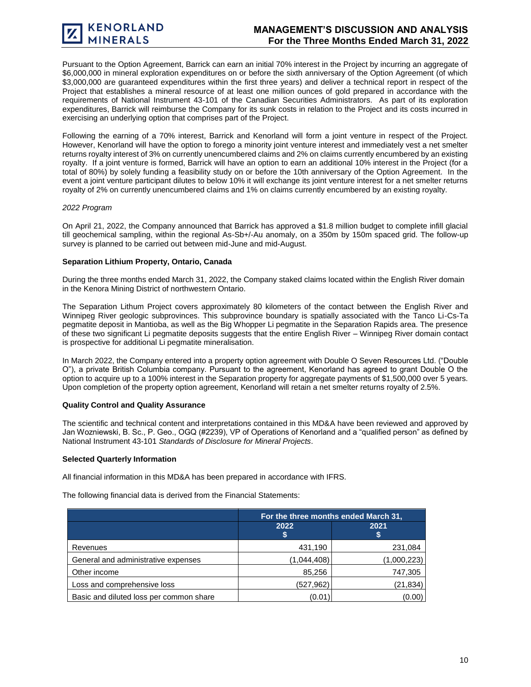Pursuant to the Option Agreement, Barrick can earn an initial 70% interest in the Project by incurring an aggregate of \$6,000,000 in mineral exploration expenditures on or before the sixth anniversary of the Option Agreement (of which \$3,000,000 are guaranteed expenditures within the first three years) and deliver a technical report in respect of the Project that establishes a mineral resource of at least one million ounces of gold prepared in accordance with the requirements of National Instrument 43-101 of the Canadian Securities Administrators. As part of its exploration expenditures, Barrick will reimburse the Company for its sunk costs in relation to the Project and its costs incurred in exercising an underlying option that comprises part of the Project.

Following the earning of a 70% interest, Barrick and Kenorland will form a joint venture in respect of the Project. However, Kenorland will have the option to forego a minority joint venture interest and immediately vest a net smelter returns royalty interest of 3% on currently unencumbered claims and 2% on claims currently encumbered by an existing royalty. If a joint venture is formed, Barrick will have an option to earn an additional 10% interest in the Project (for a total of 80%) by solely funding a feasibility study on or before the 10th anniversary of the Option Agreement. In the event a joint venture participant dilutes to below 10% it will exchange its joint venture interest for a net smelter returns royalty of 2% on currently unencumbered claims and 1% on claims currently encumbered by an existing royalty.

#### *2022 Program*

On April 21, 2022, the Company announced that Barrick has approved a \$1.8 million budget to complete infill glacial till geochemical sampling, within the regional As-Sb+/-Au anomaly, on a 350m by 150m spaced grid. The follow-up survey is planned to be carried out between mid-June and mid-August.

#### **Separation Lithium Property, Ontario, Canada**

During the three months ended March 31, 2022, the Company staked claims located within the English River domain in the Kenora Mining District of northwestern Ontario.

The Separation Lithum Project covers approximately 80 kilometers of the contact between the English River and Winnipeg River geologic subprovinces. This subprovince boundary is spatially associated with the Tanco Li-Cs-Ta pegmatite deposit in Mantioba, as well as the Big Whopper Li pegmatite in the Separation Rapids area. The presence of these two significant Li pegmatite deposits suggests that the entire English River – Winnipeg River domain contact is prospective for additional Li pegmatite mineralisation.

In March 2022, the Company entered into a property option agreement with Double O Seven Resources Ltd. ("Double O"), a private British Columbia company. Pursuant to the agreement, Kenorland has agreed to grant Double O the option to acquire up to a 100% interest in the Separation property for aggregate payments of \$1,500,000 over 5 years. Upon completion of the property option agreement, Kenorland will retain a net smelter returns royalty of 2.5%.

# **Quality Control and Quality Assurance**

The scientific and technical content and interpretations contained in this MD&A have been reviewed and approved by Jan Wozniewski, B. Sc., P. Geo., OGQ (#2239), VP of Operations of Kenorland and a "qualified person" as defined by National Instrument 43-101 *Standards of Disclosure for Mineral Projects*.

#### **Selected Quarterly Information**

All financial information in this MD&A has been prepared in accordance with IFRS.

The following financial data is derived from the Financial Statements:

|                                         | For the three months ended March 31, |             |  |
|-----------------------------------------|--------------------------------------|-------------|--|
|                                         | 2022                                 | 2021<br>ъ   |  |
| Revenues                                | 431,190                              | 231,084     |  |
| General and administrative expenses     | (1,044,408)                          | (1,000,223) |  |
| Other income                            | 85,256                               | 747,305     |  |
| Loss and comprehensive loss             | (527, 962)                           | (21, 834)   |  |
| Basic and diluted loss per common share | (0.01)                               | (0.00)      |  |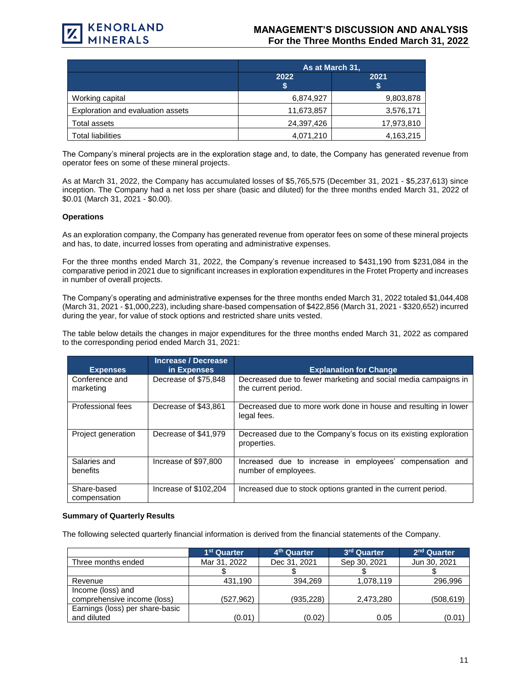

# **MANAGEMENT'S DISCUSSION AND ANALYSIS For the Three Months Ended March 31, 2022**

|                                   | As at March 31, |            |  |
|-----------------------------------|-----------------|------------|--|
|                                   | 2022<br>S       | 2021       |  |
| Working capital                   | 6,874,927       | 9,803,878  |  |
| Exploration and evaluation assets | 11,673,857      | 3,576,171  |  |
| Total assets                      | 24,397,426      | 17,973,810 |  |
| <b>Total liabilities</b>          | 4,071,210       | 4,163,215  |  |

The Company's mineral projects are in the exploration stage and, to date, the Company has generated revenue from operator fees on some of these mineral projects.

As at March 31, 2022, the Company has accumulated losses of \$5,765,575 (December 31, 2021 - \$5,237,613) since inception. The Company had a net loss per share (basic and diluted) for the three months ended March 31, 2022 of \$0.01 (March 31, 2021 - \$0.00).

#### **Operations**

As an exploration company, the Company has generated revenue from operator fees on some of these mineral projects and has, to date, incurred losses from operating and administrative expenses.

For the three months ended March 31, 2022, the Company's revenue increased to \$431,190 from \$231,084 in the comparative period in 2021 due to significant increases in exploration expenditures in the Frotet Property and increases in number of overall projects.

The Company's operating and administrative expenses for the three months ended March 31, 2022 totaled \$1,044,408 (March 31, 2021 - \$1,000,223), including share-based compensation of \$422,856 (March 31, 2021 - \$320,652) incurred during the year, for value of stock options and restricted share units vested.

The table below details the changes in major expenditures for the three months ended March 31, 2022 as compared to the corresponding period ended March 31, 2021:

| <b>Expenses</b>             | Increase / Decrease<br>in Expenses | <b>Explanation for Change</b>                                                         |
|-----------------------------|------------------------------------|---------------------------------------------------------------------------------------|
| Conference and<br>marketing | Decrease of \$75,848               | Decreased due to fewer marketing and social media campaigns in<br>the current period. |
| Professional fees           | Decrease of \$43,861               | Decreased due to more work done in house and resulting in lower<br>legal fees.        |
| Project generation          | Decrease of \$41,979               | Decreased due to the Company's focus on its existing exploration<br>properties.       |
| Salaries and<br>benefits    | Increase of \$97,800               | Increased due to increase in employees' compensation and<br>number of employees.      |
| Share-based<br>compensation | Increase of \$102,204              | Increased due to stock options granted in the current period.                         |

#### **Summary of Quarterly Results**

The following selected quarterly financial information is derived from the financial statements of the Company.

|                                 | 1 <sup>st</sup> Quarter | 4 <sup>th</sup> Quarter | 3 <sup>rd</sup> Quarter | 2 <sup>nd</sup> Quarter |
|---------------------------------|-------------------------|-------------------------|-------------------------|-------------------------|
| Three months ended              | Mar 31, 2022            | Dec 31, 2021            | Sep 30, 2021            | Jun 30, 2021            |
|                                 |                         |                         |                         |                         |
| Revenue                         | 431.190                 | 394.269                 | 1,078,119               | 296,996                 |
| Income (loss) and               |                         |                         |                         |                         |
| comprehensive income (loss)     | (527, 962)              | (935, 228)              | 2,473,280               | (508, 619)              |
| Earnings (loss) per share-basic |                         |                         |                         |                         |
| and diluted                     | (0.01)                  | (0.02)                  | 0.05                    | (0.01)                  |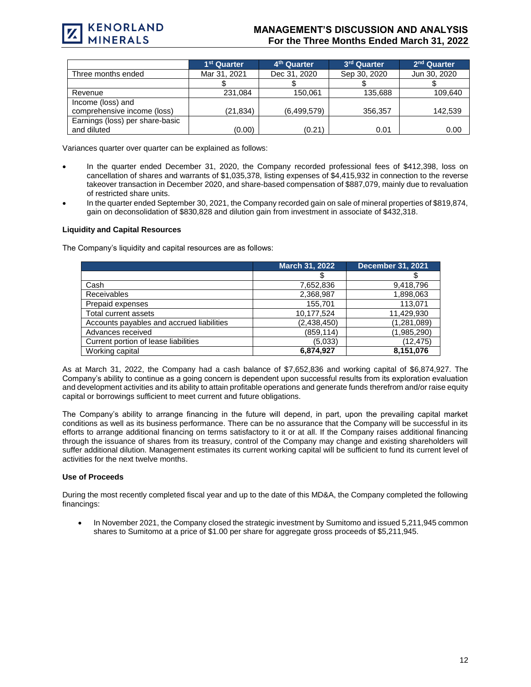

# **MANAGEMENT'S DISCUSSION AND ANALYSIS For the Three Months Ended March 31, 2022**

|                                                  | 1 <sup>st</sup> Quarter | 4 <sup>th</sup> Quarter | 3 <sup>rd</sup> Quarter | 2 <sup>nd</sup> Quarter |
|--------------------------------------------------|-------------------------|-------------------------|-------------------------|-------------------------|
| Three months ended                               | Mar 31, 2021            | Dec 31, 2020            | Sep 30, 2020            | Jun 30, 2020            |
|                                                  |                         |                         |                         |                         |
| Revenue                                          | 231,084                 | 150.061                 | 135,688                 | 109,640                 |
| Income (loss) and<br>comprehensive income (loss) | (21,834)                | (6,499,579)             | 356,357                 | 142,539                 |
| Earnings (loss) per share-basic<br>and diluted   | (0.00)                  | (0.21)                  | 0.01                    | 0.00                    |

Variances quarter over quarter can be explained as follows:

- In the quarter ended December 31, 2020, the Company recorded professional fees of \$412,398, loss on cancellation of shares and warrants of \$1,035,378, listing expenses of \$4,415,932 in connection to the reverse takeover transaction in December 2020, and share-based compensation of \$887,079, mainly due to revaluation of restricted share units.
- In the quarter ended September 30, 2021, the Company recorded gain on sale of mineral properties of \$819,874, gain on deconsolidation of \$830,828 and dilution gain from investment in associate of \$432,318.

# **Liquidity and Capital Resources**

The Company's liquidity and capital resources are as follows:

|                                           | March 31, 2022 | <b>December 31, 2021</b> |
|-------------------------------------------|----------------|--------------------------|
|                                           |                |                          |
| Cash                                      | 7,652,836      | 9,418,796                |
| <b>Receivables</b>                        | 2,368,987      | 1,898,063                |
| Prepaid expenses                          | 155.701        | 113,071                  |
| Total current assets                      | 10,177,524     | 11,429,930               |
| Accounts payables and accrued liabilities | (2,438,450)    | (1,281,089)              |
| Advances received                         | (859, 114)     | (1,985,290)              |
| Current portion of lease liabilities      | (5,033)        | (12, 475)                |
| Working capital                           | 6,874,927      | 8,151,076                |

As at March 31, 2022, the Company had a cash balance of \$7,652,836 and working capital of \$6,874,927. The Company's ability to continue as a going concern is dependent upon successful results from its exploration evaluation and development activities and its ability to attain profitable operations and generate funds therefrom and/or raise equity capital or borrowings sufficient to meet current and future obligations.

The Company's ability to arrange financing in the future will depend, in part, upon the prevailing capital market conditions as well as its business performance. There can be no assurance that the Company will be successful in its efforts to arrange additional financing on terms satisfactory to it or at all. If the Company raises additional financing through the issuance of shares from its treasury, control of the Company may change and existing shareholders will suffer additional dilution. Management estimates its current working capital will be sufficient to fund its current level of activities for the next twelve months.

#### **Use of Proceeds**

During the most recently completed fiscal year and up to the date of this MD&A, the Company completed the following financings:

• In November 2021, the Company closed the strategic investment by Sumitomo and issued 5,211,945 common shares to Sumitomo at a price of \$1.00 per share for aggregate gross proceeds of \$5,211,945.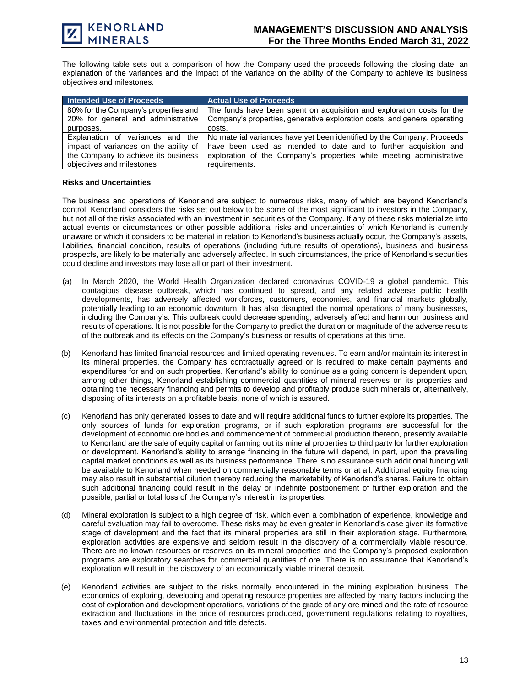The following table sets out a comparison of how the Company used the proceeds following the closing date, an explanation of the variances and the impact of the variance on the ability of the Company to achieve its business objectives and milestones.

| Intended Use of Proceeds                                                                                         | <b>Actual Use of Proceeds</b>                                                                                                                                                                                        |  |  |
|------------------------------------------------------------------------------------------------------------------|----------------------------------------------------------------------------------------------------------------------------------------------------------------------------------------------------------------------|--|--|
| 80% for the Company's properties and<br>20% for general and administrative                                       | The funds have been spent on acquisition and exploration costs for the<br>Company's properties, generative exploration costs, and general operating                                                                  |  |  |
| purposes.                                                                                                        | costs.                                                                                                                                                                                                               |  |  |
| Explanation of variances and the<br>impact of variances on the ability of<br>the Company to achieve its business | No material variances have yet been identified by the Company. Proceeds<br>have been used as intended to date and to further acquisition and<br>exploration of the Company's properties while meeting administrative |  |  |
| objectives and milestones                                                                                        | requirements.                                                                                                                                                                                                        |  |  |

# **Risks and Uncertainties**

The business and operations of Kenorland are subject to numerous risks, many of which are beyond Kenorland's control. Kenorland considers the risks set out below to be some of the most significant to investors in the Company, but not all of the risks associated with an investment in securities of the Company. If any of these risks materialize into actual events or circumstances or other possible additional risks and uncertainties of which Kenorland is currently unaware or which it considers to be material in relation to Kenorland's business actually occur, the Company's assets, liabilities, financial condition, results of operations (including future results of operations), business and business prospects, are likely to be materially and adversely affected. In such circumstances, the price of Kenorland's securities could decline and investors may lose all or part of their investment.

- (a) In March 2020, the World Health Organization declared coronavirus COVID-19 a global pandemic. This contagious disease outbreak, which has continued to spread, and any related adverse public health developments, has adversely affected workforces, customers, economies, and financial markets globally, potentially leading to an economic downturn. It has also disrupted the normal operations of many businesses, including the Company's. This outbreak could decrease spending, adversely affect and harm our business and results of operations. It is not possible for the Company to predict the duration or magnitude of the adverse results of the outbreak and its effects on the Company's business or results of operations at this time.
- (b) Kenorland has limited financial resources and limited operating revenues. To earn and/or maintain its interest in its mineral properties, the Company has contractually agreed or is required to make certain payments and expenditures for and on such properties. Kenorland's ability to continue as a going concern is dependent upon, among other things, Kenorland establishing commercial quantities of mineral reserves on its properties and obtaining the necessary financing and permits to develop and profitably produce such minerals or, alternatively, disposing of its interests on a profitable basis, none of which is assured.
- (c) Kenorland has only generated losses to date and will require additional funds to further explore its properties. The only sources of funds for exploration programs, or if such exploration programs are successful for the development of economic ore bodies and commencement of commercial production thereon, presently available to Kenorland are the sale of equity capital or farming out its mineral properties to third party for further exploration or development. Kenorland's ability to arrange financing in the future will depend, in part, upon the prevailing capital market conditions as well as its business performance. There is no assurance such additional funding will be available to Kenorland when needed on commercially reasonable terms or at all. Additional equity financing may also result in substantial dilution thereby reducing the marketability of Kenorland's shares. Failure to obtain such additional financing could result in the delay or indefinite postponement of further exploration and the possible, partial or total loss of the Company's interest in its properties.
- (d) Mineral exploration is subject to a high degree of risk, which even a combination of experience, knowledge and careful evaluation may fail to overcome. These risks may be even greater in Kenorland's case given its formative stage of development and the fact that its mineral properties are still in their exploration stage. Furthermore, exploration activities are expensive and seldom result in the discovery of a commercially viable resource. There are no known resources or reserves on its mineral properties and the Company's proposed exploration programs are exploratory searches for commercial quantities of ore. There is no assurance that Kenorland's exploration will result in the discovery of an economically viable mineral deposit.
- (e) Kenorland activities are subject to the risks normally encountered in the mining exploration business. The economics of exploring, developing and operating resource properties are affected by many factors including the cost of exploration and development operations, variations of the grade of any ore mined and the rate of resource extraction and fluctuations in the price of resources produced, government regulations relating to royalties, taxes and environmental protection and title defects.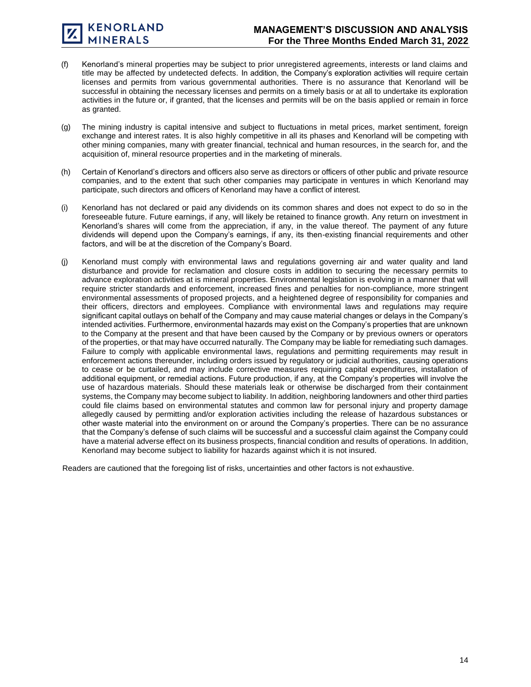- (f) Kenorland's mineral properties may be subject to prior unregistered agreements, interests or land claims and title may be affected by undetected defects. In addition, the Company's exploration activities will require certain licenses and permits from various governmental authorities. There is no assurance that Kenorland will be successful in obtaining the necessary licenses and permits on a timely basis or at all to undertake its exploration activities in the future or, if granted, that the licenses and permits will be on the basis applied or remain in force as granted.
- (g) The mining industry is capital intensive and subject to fluctuations in metal prices, market sentiment, foreign exchange and interest rates. It is also highly competitive in all its phases and Kenorland will be competing with other mining companies, many with greater financial, technical and human resources, in the search for, and the acquisition of, mineral resource properties and in the marketing of minerals.
- (h) Certain of Kenorland's directors and officers also serve as directors or officers of other public and private resource companies, and to the extent that such other companies may participate in ventures in which Kenorland may participate, such directors and officers of Kenorland may have a conflict of interest.
- (i) Kenorland has not declared or paid any dividends on its common shares and does not expect to do so in the foreseeable future. Future earnings, if any, will likely be retained to finance growth. Any return on investment in Kenorland's shares will come from the appreciation, if any, in the value thereof. The payment of any future dividends will depend upon the Company's earnings, if any, its then-existing financial requirements and other factors, and will be at the discretion of the Company's Board.
- (j) Kenorland must comply with environmental laws and regulations governing air and water quality and land disturbance and provide for reclamation and closure costs in addition to securing the necessary permits to advance exploration activities at is mineral properties. Environmental legislation is evolving in a manner that will require stricter standards and enforcement, increased fines and penalties for non-compliance, more stringent environmental assessments of proposed projects, and a heightened degree of responsibility for companies and their officers, directors and employees. Compliance with environmental laws and regulations may require significant capital outlays on behalf of the Company and may cause material changes or delays in the Company's intended activities. Furthermore, environmental hazards may exist on the Company's properties that are unknown to the Company at the present and that have been caused by the Company or by previous owners or operators of the properties, or that may have occurred naturally. The Company may be liable for remediating such damages. Failure to comply with applicable environmental laws, regulations and permitting requirements may result in enforcement actions thereunder, including orders issued by regulatory or judicial authorities, causing operations to cease or be curtailed, and may include corrective measures requiring capital expenditures, installation of additional equipment, or remedial actions. Future production, if any, at the Company's properties will involve the use of hazardous materials. Should these materials leak or otherwise be discharged from their containment systems, the Company may become subject to liability. In addition, neighboring landowners and other third parties could file claims based on environmental statutes and common law for personal injury and property damage allegedly caused by permitting and/or exploration activities including the release of hazardous substances or other waste material into the environment on or around the Company's properties. There can be no assurance that the Company's defense of such claims will be successful and a successful claim against the Company could have a material adverse effect on its business prospects, financial condition and results of operations. In addition, Kenorland may become subject to liability for hazards against which it is not insured.

Readers are cautioned that the foregoing list of risks, uncertainties and other factors is not exhaustive.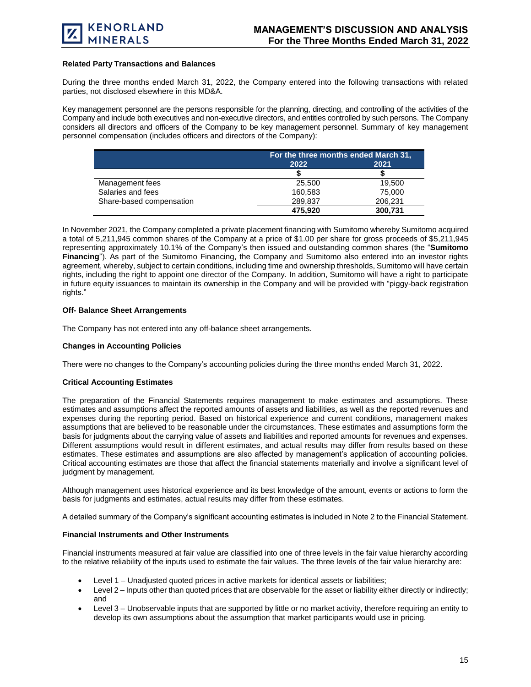

#### **Related Party Transactions and Balances**

During the three months ended March 31, 2022, the Company entered into the following transactions with related parties, not disclosed elsewhere in this MD&A.

Key management personnel are the persons responsible for the planning, directing, and controlling of the activities of the Company and include both executives and non-executive directors, and entities controlled by such persons. The Company considers all directors and officers of the Company to be key management personnel. Summary of key management personnel compensation (includes officers and directors of the Company):

|                          | For the three months ended March 31, |         |
|--------------------------|--------------------------------------|---------|
|                          | 2022                                 | 2021    |
|                          |                                      |         |
| Management fees          | 25.500                               | 19.500  |
| Salaries and fees        | 160.583                              | 75,000  |
| Share-based compensation | 289.837                              | 206,231 |
|                          | 475,920                              | 300,731 |

In November 2021, the Company completed a private placement financing with Sumitomo whereby Sumitomo acquired a total of 5,211,945 common shares of the Company at a price of \$1.00 per share for gross proceeds of \$5,211,945 representing approximately 10.1% of the Company's then issued and outstanding common shares (the "**Sumitomo Financing**"). As part of the Sumitomo Financing, the Company and Sumitomo also entered into an investor rights agreement, whereby, subject to certain conditions, including time and ownership thresholds, Sumitomo will have certain rights, including the right to appoint one director of the Company. In addition, Sumitomo will have a right to participate in future equity issuances to maintain its ownership in the Company and will be provided with "piggy-back registration rights."

# **Off- Balance Sheet Arrangements**

The Company has not entered into any off-balance sheet arrangements.

#### **Changes in Accounting Policies**

There were no changes to the Company's accounting policies during the three months ended March 31, 2022.

# **Critical Accounting Estimates**

The preparation of the Financial Statements requires management to make estimates and assumptions. These estimates and assumptions affect the reported amounts of assets and liabilities, as well as the reported revenues and expenses during the reporting period. Based on historical experience and current conditions, management makes assumptions that are believed to be reasonable under the circumstances. These estimates and assumptions form the basis for judgments about the carrying value of assets and liabilities and reported amounts for revenues and expenses. Different assumptions would result in different estimates, and actual results may differ from results based on these estimates. These estimates and assumptions are also affected by management's application of accounting policies. Critical accounting estimates are those that affect the financial statements materially and involve a significant level of judgment by management.

Although management uses historical experience and its best knowledge of the amount, events or actions to form the basis for judgments and estimates, actual results may differ from these estimates.

A detailed summary of the Company's significant accounting estimates is included in Note 2 to the Financial Statement.

#### **Financial Instruments and Other Instruments**

Financial instruments measured at fair value are classified into one of three levels in the fair value hierarchy according to the relative reliability of the inputs used to estimate the fair values. The three levels of the fair value hierarchy are:

- Level 1 Unadjusted quoted prices in active markets for identical assets or liabilities;
- Level 2 Inputs other than quoted prices that are observable for the asset or liability either directly or indirectly; and
- Level 3 Unobservable inputs that are supported by little or no market activity, therefore requiring an entity to develop its own assumptions about the assumption that market participants would use in pricing.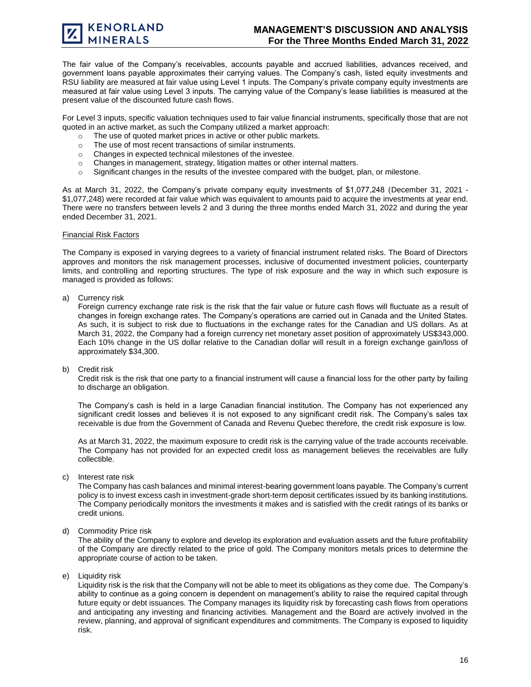The fair value of the Company's receivables, accounts payable and accrued liabilities, advances received, and government loans payable approximates their carrying values. The Company's cash, listed equity investments and RSU liability are measured at fair value using Level 1 inputs. The Company's private company equity investments are measured at fair value using Level 3 inputs. The carrying value of the Company's lease liabilities is measured at the present value of the discounted future cash flows.

For Level 3 inputs, specific valuation techniques used to fair value financial instruments, specifically those that are not quoted in an active market, as such the Company utilized a market approach:

- o The use of quoted market prices in active or other public markets.
- o The use of most recent transactions of similar instruments.
- o Changes in expected technical milestones of the investee.
- o Changes in management, strategy, litigation mattes or other internal matters.
- o Significant changes in the results of the investee compared with the budget, plan, or milestone.

As at March 31, 2022, the Company's private company equity investments of \$1,077,248 (December 31, 2021 - \$1,077,248) were recorded at fair value which was equivalent to amounts paid to acquire the investments at year end. There were no transfers between levels 2 and 3 during the three months ended March 31, 2022 and during the year ended December 31, 2021.

#### Financial Risk Factors

The Company is exposed in varying degrees to a variety of financial instrument related risks. The Board of Directors approves and monitors the risk management processes, inclusive of documented investment policies, counterparty limits, and controlling and reporting structures. The type of risk exposure and the way in which such exposure is managed is provided as follows:

a) Currency risk

Foreign currency exchange rate risk is the risk that the fair value or future cash flows will fluctuate as a result of changes in foreign exchange rates. The Company's operations are carried out in Canada and the United States. As such, it is subject to risk due to fluctuations in the exchange rates for the Canadian and US dollars. As at March 31, 2022, the Company had a foreign currency net monetary asset position of approximately US\$343,000. Each 10% change in the US dollar relative to the Canadian dollar will result in a foreign exchange gain/loss of approximately \$34,300.

b) Credit risk

Credit risk is the risk that one party to a financial instrument will cause a financial loss for the other party by failing to discharge an obligation.

The Company's cash is held in a large Canadian financial institution. The Company has not experienced any significant credit losses and believes it is not exposed to any significant credit risk. The Company's sales tax receivable is due from the Government of Canada and Revenu Quebec therefore, the credit risk exposure is low.

As at March 31, 2022, the maximum exposure to credit risk is the carrying value of the trade accounts receivable. The Company has not provided for an expected credit loss as management believes the receivables are fully collectible.

c) Interest rate risk

The Company has cash balances and minimal interest-bearing government loans payable. The Company's current policy is to invest excess cash in investment-grade short-term deposit certificates issued by its banking institutions. The Company periodically monitors the investments it makes and is satisfied with the credit ratings of its banks or credit unions.

d) Commodity Price risk

The ability of the Company to explore and develop its exploration and evaluation assets and the future profitability of the Company are directly related to the price of gold. The Company monitors metals prices to determine the appropriate course of action to be taken.

e) Liquidity risk

Liquidity risk is the risk that the Company will not be able to meet its obligations as they come due. The Company's ability to continue as a going concern is dependent on management's ability to raise the required capital through future equity or debt issuances. The Company manages its liquidity risk by forecasting cash flows from operations and anticipating any investing and financing activities. Management and the Board are actively involved in the review, planning, and approval of significant expenditures and commitments. The Company is exposed to liquidity risk.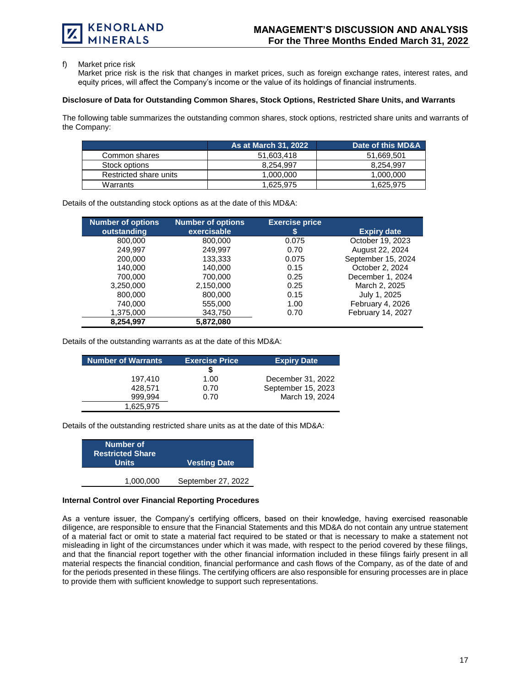f) Market price risk

Market price risk is the risk that changes in market prices, such as foreign exchange rates, interest rates, and equity prices, will affect the Company's income or the value of its holdings of financial instruments.

#### **Disclosure of Data for Outstanding Common Shares, Stock Options, Restricted Share Units, and Warrants**

The following table summarizes the outstanding common shares, stock options, restricted share units and warrants of the Company:

|                        | <b>As at March 31, 2022</b> | Date of this MD&A |
|------------------------|-----------------------------|-------------------|
| Common shares          | 51.603.418                  | 51.669.501        |
| Stock options          | 8.254.997                   | 8.254.997         |
| Restricted share units | 1.000.000                   | 1,000,000         |
| Warrants               | 1,625,975                   | 1,625,975         |

Details of the outstanding stock options as at the date of this MD&A:

| <b>Number of options</b> | <b>Number of options</b> | <b>Exercise price</b> |                    |
|--------------------------|--------------------------|-----------------------|--------------------|
| outstanding              | exercisable              | \$                    | <b>Expiry date</b> |
| 800,000                  | 800,000                  | 0.075                 | October 19, 2023   |
| 249.997                  | 249,997                  | 0.70                  | August 22, 2024    |
| 200,000                  | 133,333                  | 0.075                 | September 15, 2024 |
| 140.000                  | 140.000                  | 0.15                  | October 2, 2024    |
| 700.000                  | 700.000                  | 0.25                  | December 1, 2024   |
| 3,250,000                | 2,150,000                | 0.25                  | March 2, 2025      |
| 800,000                  | 800,000                  | 0.15                  | July 1, 2025       |
| 740,000                  | 555,000                  | 1.00                  | February 4, 2026   |
| 1,375,000                | 343,750                  | 0.70                  | February 14, 2027  |
| 8,254,997                | 5,872,080                |                       |                    |

Details of the outstanding warrants as at the date of this MD&A:

| <b>Number of Warrants</b> | <b>Exercise Price</b> | <b>Expiry Date</b> |
|---------------------------|-----------------------|--------------------|
|                           |                       |                    |
| 197.410                   | 1.00                  | December 31, 2022  |
| 428.571                   | 0.70                  | September 15, 2023 |
| 999.994                   | 0.70                  | March 19, 2024     |
| 1,625,975                 |                       |                    |

Details of the outstanding restricted share units as at the date of this MD&A:

| <b>Vesting Date</b> |
|---------------------|
|                     |
| September 27, 2022  |
|                     |

# **Internal Control over Financial Reporting Procedures**

As a venture issuer, the Company's certifying officers, based on their knowledge, having exercised reasonable diligence, are responsible to ensure that the Financial Statements and this MD&A do not contain any untrue statement of a material fact or omit to state a material fact required to be stated or that is necessary to make a statement not misleading in light of the circumstances under which it was made, with respect to the period covered by these filings, and that the financial report together with the other financial information included in these filings fairly present in all material respects the financial condition, financial performance and cash flows of the Company, as of the date of and for the periods presented in these filings. The certifying officers are also responsible for ensuring processes are in place to provide them with sufficient knowledge to support such representations.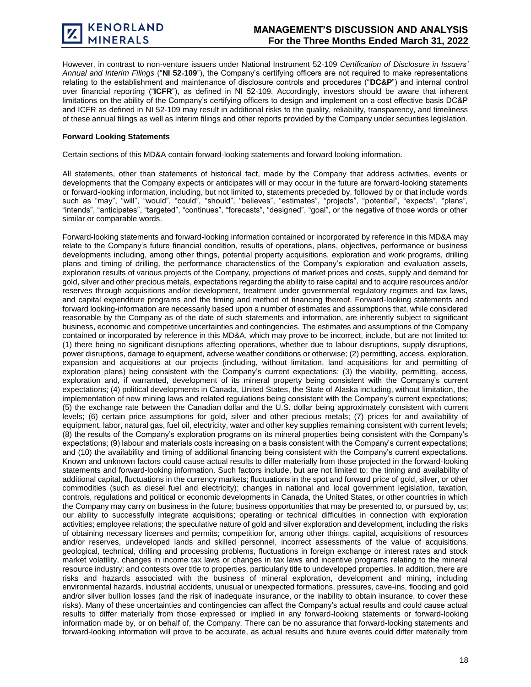However, in contrast to non-venture issuers under National Instrument 52‐109 *Certification of Disclosure in Issuers' Annual and Interim Filings* ("**NI 52**‐**109**"), the Company's certifying officers are not required to make representations relating to the establishment and maintenance of disclosure controls and procedures ("**DC&P**") and internal control over financial reporting ("**ICFR**"), as defined in NI 52‐109. Accordingly, investors should be aware that inherent limitations on the ability of the Company's certifying officers to design and implement on a cost effective basis DC&P and ICFR as defined in NI 52-109 may result in additional risks to the quality, reliability, transparency, and timeliness of these annual filings as well as interim filings and other reports provided by the Company under securities legislation.

# **Forward Looking Statements**

Certain sections of this MD&A contain forward-looking statements and forward looking information.

All statements, other than statements of historical fact, made by the Company that address activities, events or developments that the Company expects or anticipates will or may occur in the future are forward-looking statements or forward-looking information, including, but not limited to, statements preceded by, followed by or that include words such as "may", "will", "would", "could", "should", "believes", "estimates", "projects", "potential", "expects", "plans", "intends", "anticipates", "targeted", "continues", "forecasts", "designed", "goal", or the negative of those words or other similar or comparable words.

Forward-looking statements and forward-looking information contained or incorporated by reference in this MD&A may relate to the Company's future financial condition, results of operations, plans, objectives, performance or business developments including, among other things, potential property acquisitions, exploration and work programs, drilling plans and timing of drilling, the performance characteristics of the Company's exploration and evaluation assets, exploration results of various projects of the Company, projections of market prices and costs, supply and demand for gold, silver and other precious metals, expectations regarding the ability to raise capital and to acquire resources and/or reserves through acquisitions and/or development, treatment under governmental regulatory regimes and tax laws, and capital expenditure programs and the timing and method of financing thereof. Forward-looking statements and forward looking-information are necessarily based upon a number of estimates and assumptions that, while considered reasonable by the Company as of the date of such statements and information, are inherently subject to significant business, economic and competitive uncertainties and contingencies. The estimates and assumptions of the Company contained or incorporated by reference in this MD&A, which may prove to be incorrect, include, but are not limited to: (1) there being no significant disruptions affecting operations, whether due to labour disruptions, supply disruptions, power disruptions, damage to equipment, adverse weather conditions or otherwise; (2) permitting, access, exploration, expansion and acquisitions at our projects (including, without limitation, land acquisitions for and permitting of exploration plans) being consistent with the Company's current expectations; (3) the viability, permitting, access, exploration and, if warranted, development of its mineral property being consistent with the Company's current expectations; (4) political developments in Canada, United States, the State of Alaska including, without limitation, the implementation of new mining laws and related regulations being consistent with the Company's current expectations; (5) the exchange rate between the Canadian dollar and the U.S. dollar being approximately consistent with current levels; (6) certain price assumptions for gold, silver and other precious metals; (7) prices for and availability of equipment, labor, natural gas, fuel oil, electricity, water and other key supplies remaining consistent with current levels; (8) the results of the Company's exploration programs on its mineral properties being consistent with the Company's expectations; (9) labour and materials costs increasing on a basis consistent with the Company's current expectations; and (10) the availability and timing of additional financing being consistent with the Company's current expectations. Known and unknown factors could cause actual results to differ materially from those projected in the forward-looking statements and forward-looking information. Such factors include, but are not limited to: the timing and availability of additional capital, fluctuations in the currency markets; fluctuations in the spot and forward price of gold, silver, or other commodities (such as diesel fuel and electricity); changes in national and local government legislation, taxation, controls, regulations and political or economic developments in Canada, the United States, or other countries in which the Company may carry on business in the future; business opportunities that may be presented to, or pursued by, us; our ability to successfully integrate acquisitions; operating or technical difficulties in connection with exploration activities; employee relations; the speculative nature of gold and silver exploration and development, including the risks of obtaining necessary licenses and permits; competition for, among other things, capital, acquisitions of resources and/or reserves, undeveloped lands and skilled personnel, incorrect assessments of the value of acquisitions, geological, technical, drilling and processing problems, fluctuations in foreign exchange or interest rates and stock market volatility, changes in income tax laws or changes in tax laws and incentive programs relating to the mineral resource industry; and contests over title to properties, particularly title to undeveloped properties. In addition, there are risks and hazards associated with the business of mineral exploration, development and mining, including environmental hazards, industrial accidents, unusual or unexpected formations, pressures, cave-ins, flooding and gold and/or silver bullion losses (and the risk of inadequate insurance, or the inability to obtain insurance, to cover these risks). Many of these uncertainties and contingencies can affect the Company's actual results and could cause actual results to differ materially from those expressed or implied in any forward-looking statements or forward-looking information made by, or on behalf of, the Company. There can be no assurance that forward-looking statements and forward-looking information will prove to be accurate, as actual results and future events could differ materially from